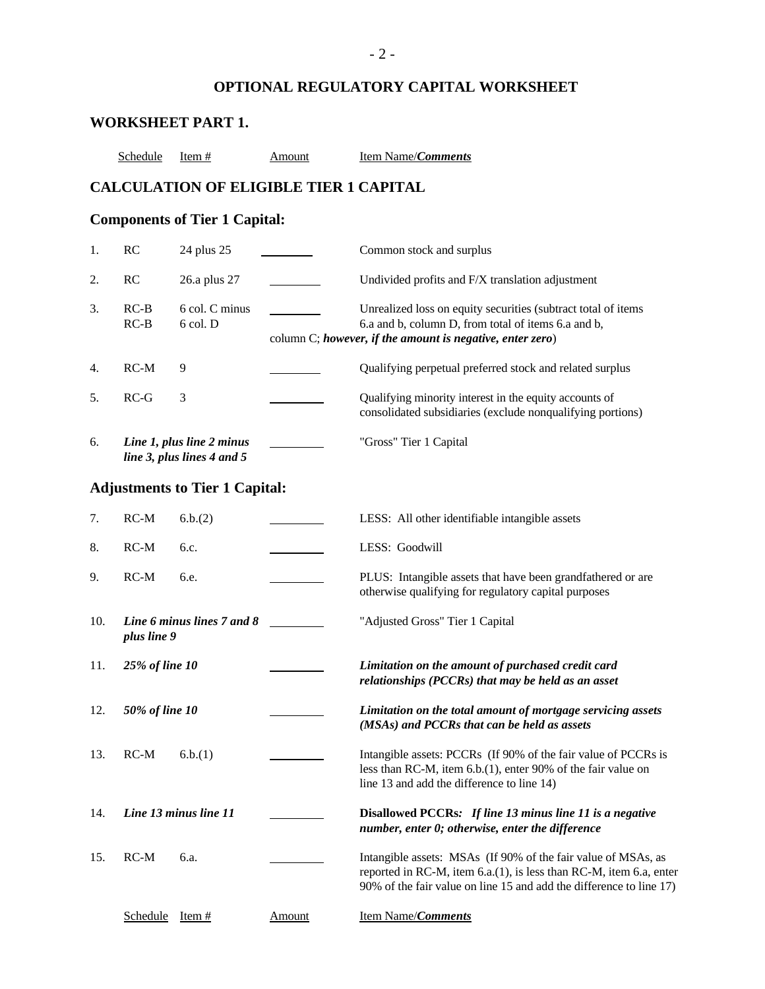# **OPTIONAL REGULATORY CAPITAL WORKSHEET**

# **WORKSHEET PART 1.**

| Schedule | Item # | Amount | Item Name/ <i>Comments</i> |
|----------|--------|--------|----------------------------|
|----------|--------|--------|----------------------------|

### **CALCULATION OF ELIGIBLE TIER 1 CAPITAL**

# **Components of Tier 1 Capital:**

| 1.  | RC               | 24 plus 25                                              |               | Common stock and surplus                                                                                                                                                                                   |
|-----|------------------|---------------------------------------------------------|---------------|------------------------------------------------------------------------------------------------------------------------------------------------------------------------------------------------------------|
| 2.  | RC               | 26.a plus 27                                            |               | Undivided profits and F/X translation adjustment                                                                                                                                                           |
| 3.  | $RC-B$<br>$RC-B$ | 6 col. C minus<br>6 col. D                              |               | Unrealized loss on equity securities (subtract total of items<br>6.a and b, column D, from total of items 6.a and b,<br>column C; however, if the amount is negative, enter zero)                          |
| 4.  | $RC-M$           | 9                                                       |               | Qualifying perpetual preferred stock and related surplus                                                                                                                                                   |
| 5.  | $RC-G$           | 3                                                       |               | Qualifying minority interest in the equity accounts of<br>consolidated subsidiaries (exclude nonqualifying portions)                                                                                       |
| 6.  |                  | Line 1, plus line 2 minus<br>line 3, plus lines 4 and 5 |               | "Gross" Tier 1 Capital                                                                                                                                                                                     |
|     |                  | <b>Adjustments to Tier 1 Capital:</b>                   |               |                                                                                                                                                                                                            |
| 7.  | $RC-M$           | 6.b.(2)                                                 |               | LESS: All other identifiable intangible assets                                                                                                                                                             |
| 8.  | $RC-M$           | 6.c.                                                    |               | LESS: Goodwill                                                                                                                                                                                             |
| 9.  | $RC-M$           | 6.e.                                                    |               | PLUS: Intangible assets that have been grandfathered or are<br>otherwise qualifying for regulatory capital purposes                                                                                        |
| 10. | plus line 9      | Line 6 minus lines 7 and 8                              |               | "Adjusted Gross" Tier 1 Capital                                                                                                                                                                            |
| 11. | 25% of line 10   |                                                         |               | Limitation on the amount of purchased credit card<br>relationships (PCCRs) that may be held as an asset                                                                                                    |
| 12. | 50% of line 10   |                                                         |               | Limitation on the total amount of mortgage servicing assets<br>(MSAs) and PCCRs that can be held as assets                                                                                                 |
| 13. | $RC-M$           | 6.b.(1)                                                 |               | Intangible assets: PCCRs (If 90% of the fair value of PCCRs is<br>less than RC-M, item 6.b.(1), enter 90% of the fair value on<br>line 13 and add the difference to line 14)                               |
| 14. |                  | Line 13 minus line 11                                   |               | Disallowed PCCRs: If line 13 minus line 11 is a negative<br>number, enter 0; otherwise, enter the difference                                                                                               |
| 15. | $RC-M$           | 6.a.                                                    |               | Intangible assets: MSAs (If 90% of the fair value of MSAs, as<br>reported in RC-M, item 6.a.(1), is less than RC-M, item 6.a, enter<br>90% of the fair value on line 15 and add the difference to line 17) |
|     | Schedule         | Item $#$                                                | <b>Amount</b> | Item Name/Comments                                                                                                                                                                                         |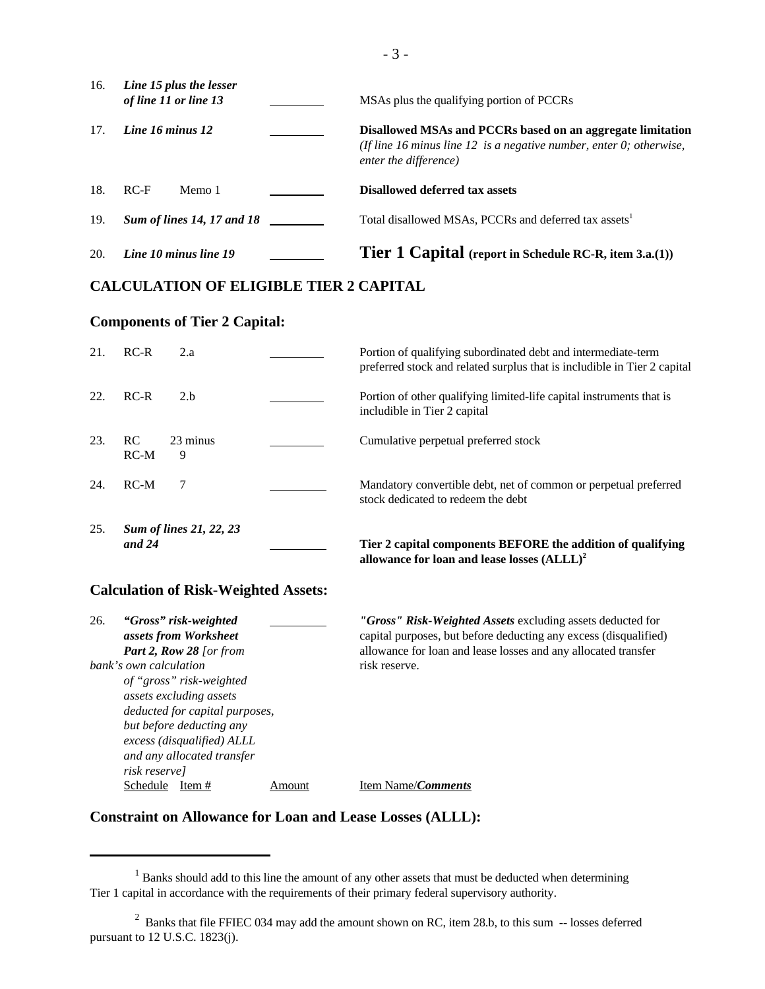| 16. | Line 15 plus the lesser<br>of line 11 or line 13 | MSAs plus the qualifying portion of PCCRs                                                                                                                  |
|-----|--------------------------------------------------|------------------------------------------------------------------------------------------------------------------------------------------------------------|
| 17. | Line 16 minus 12                                 | Disallowed MSAs and PCCRs based on an aggregate limitation<br>(If line 16 minus line 12 is a negative number, enter 0; otherwise,<br>enter the difference) |
| 18. | $RC-F$<br>Memo 1                                 | Disallowed deferred tax assets                                                                                                                             |
| 19. | <b>Sum of lines 14, 17 and 18</b>                | Total disallowed MSAs, PCCRs and deferred tax assets <sup>1</sup>                                                                                          |
| 20. | Line 10 minus line 19                            | <b>Tier 1 Capital</b> (report in Schedule RC-R, item 3.a.(1))                                                                                              |

#### **CALCULATION OF ELIGIBLE TIER 2 CAPITAL**

#### **Components of Tier 2 Capital:**

| 21. | $RC-R$<br>2.a                              | Portion of qualifying subordinated debt and intermediate-term<br>preferred stock and related surplus that is includible in Tier 2 capital |
|-----|--------------------------------------------|-------------------------------------------------------------------------------------------------------------------------------------------|
| 22. | $RC-R$<br>2.b                              | Portion of other qualifying limited-life capital instruments that is<br>includible in Tier 2 capital                                      |
| 23. | RC.<br>23 minus<br>$RC-M$<br>9             | Cumulative perpetual preferred stock                                                                                                      |
| 24. | $RC-M$                                     | Mandatory convertible debt, net of common or perpetual preferred<br>stock dedicated to redeem the debt                                    |
| 25. | <b>Sum of lines 21, 22, 23</b><br>and $24$ | Tier 2 capital components BEFORE the addition of qualifying<br>allowance for loan and lease losses $(ALLL)^2$                             |

#### **Calculation of Risk-Weighted Assets:**

| 26.                            | "Gross" risk-weighted      |        | "Gross" Risk-Weighted Assets excluding assets deducted for       |
|--------------------------------|----------------------------|--------|------------------------------------------------------------------|
|                                | assets from Worksheet      |        | capital purposes, but before deducting any excess (disqualified) |
|                                | Part 2, Row 28 [or from    |        | allowance for loan and lease losses and any allocated transfer   |
|                                | bank's own calculation     |        | risk reserve.                                                    |
|                                | of "gross" risk-weighted   |        |                                                                  |
|                                | assets excluding assets    |        |                                                                  |
| deducted for capital purposes, |                            |        |                                                                  |
|                                | but before deducting any   |        |                                                                  |
| excess (disqualified) ALLL     |                            |        |                                                                  |
|                                | and any allocated transfer |        |                                                                  |
|                                | risk reserve]              |        |                                                                  |
|                                | Schedule<br>Item $#$       | Amount | Item Name/ <i>Comments</i>                                       |

#### **Constraint on Allowance for Loan and Lease Losses (ALLL):**

 $1$  Banks should add to this line the amount of any other assets that must be deducted when determining Tier 1 capital in accordance with the requirements of their primary federal supervisory authority.

 $2$  Banks that file FFIEC 034 may add the amount shown on RC, item 28.b, to this sum  $-$  losses deferred pursuant to 12 U.S.C. 1823(j).